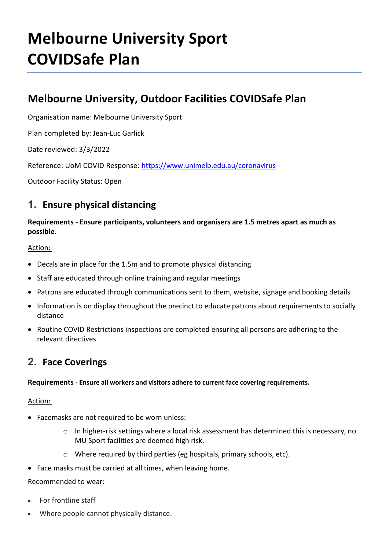# **Melbourne University Sport COVIDSafe Plan**

## **Melbourne University, Outdoor Facilities COVIDSafe Plan**

Organisation name: Melbourne University Sport

Plan completed by: Jean-Luc Garlick

Date reviewed: 3/3/2022

Reference: UoM COVID Response:<https://www.unimelb.edu.au/coronavirus>

Outdoor Facility Status: Open

### **1. Ensure physical distancing**

**Requirements - Ensure participants, volunteers and organisers are 1.5 metres apart as much as possible.**

Action:

- Decals are in place for the 1.5m and to promote physical distancing
- Staff are educated through online training and regular meetings
- Patrons are educated through communications sent to them, website, signage and booking details
- Information is on display throughout the precinct to educate patrons about requirements to socially distance
- Routine COVID Restrictions inspections are completed ensuring all persons are adhering to the relevant directives

## **2. Face Coverings**

**Requirements - Ensure all workers and visitors adhere to current face covering requirements.** 

#### Action:

- Facemasks are not required to be worn unless:
	- $\circ$  In higher-risk settings where a local risk assessment has determined this is necessary, no MU Sport facilities are deemed high risk.
	- o Where required by third parties (eg hospitals, primary schools, etc).
- Face masks must be carried at all times, when leaving home.

Recommended to wear:

- For frontline staff
- Where people cannot physically distance.